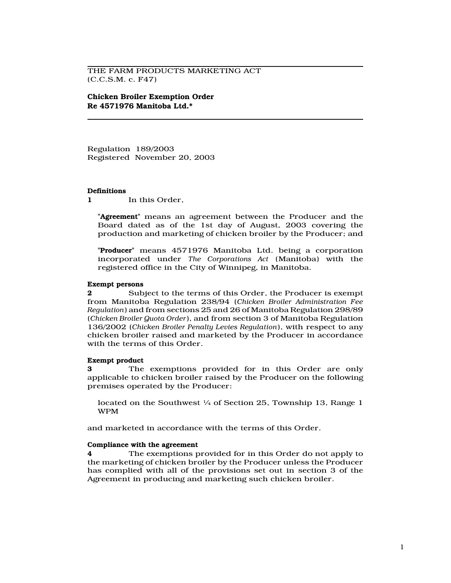THE FARM PRODUCTS MARKETING ACT (C.C.S.M. c. F47)

Chicken Broiler Exemption Order Re 4571976 Manitoba Ltd.\*

Regulation 189/2003 Registered November 20, 2003

#### **Definitions**

1 In this Order.

"**Agreement**" means an agreement between the Producer and the Board dated as of the 1st day of August, 2003 covering the production and marketing of chicken broiler by the Producer; and

"Producer" means 4571976 Manitoba Ltd. being a corporation incorporated under The Corporations Act (Manitoba) with the registered office in the City of Winnipeg, in Manitoba.

#### Exempt persons

2 Subject to the terms of this Order, the Producer is exempt from Manitoba Regulation 238/94 (Chicken Broiler Administration Fee Regulation) and from sections 25 and 26 of Manitoba Regulation 298/89 (Chicken Broiler Quota Order), and from section 3 of Manitoba Regulation 136/2002 (Chicken Broiler Penalty Levies Regulation), with respect to any chicken broiler raised and marketed by the Producer in accordance with the terms of this Order.

# Exempt product

3 The exemptions provided for in this Order are only applicable to chicken broiler raised by the Producer on the following premises operated by the Producer:

located on the Southwest  $\frac{1}{4}$  of Section 25, Township 13, Range 1 WPM

and marketed in accordance with the terms of this Order.

#### Compliance with the agreement

4 The exemptions provided for in this Order do not apply to the marketing of chicken broiler by the Producer unless the Producer has complied with all of the provisions set out in section 3 of the Agreement in producing and marketing such chicken broiler.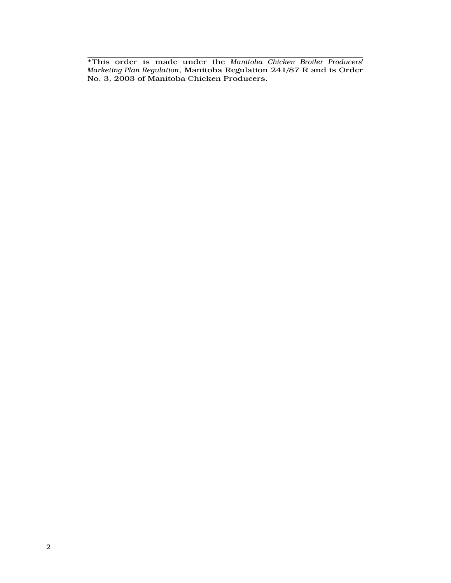\*This order is made under the Manitoba Chicken Broiler Producers' Marketing Plan Regulation, Manitoba Regulation 241/87 R and is Order No. 3, 2003 of Manitoba Chicken Producers.